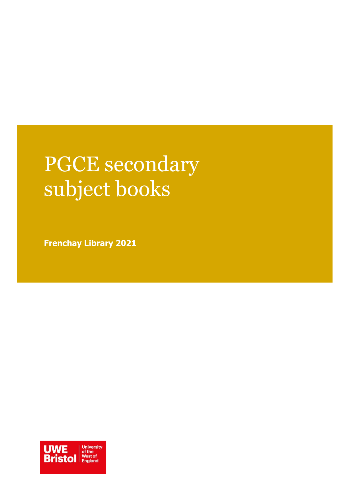# PGCE secondary subject books

**Frenchay Library 2021**

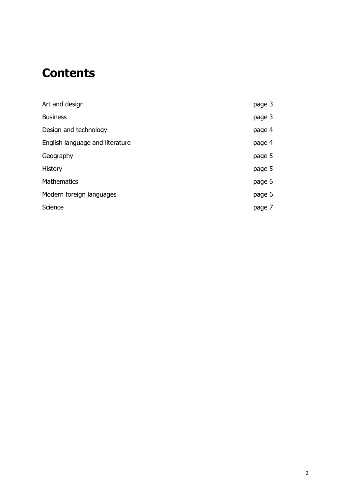# **Contents**

| Art and design                  | page 3 |
|---------------------------------|--------|
| <b>Business</b>                 | page 3 |
| Design and technology           | page 4 |
| English language and literature | page 4 |
| Geography                       | page 5 |
| History                         | page 5 |
| <b>Mathematics</b>              | page 6 |
| Modern foreign languages        | page 6 |
| Science                         | page 7 |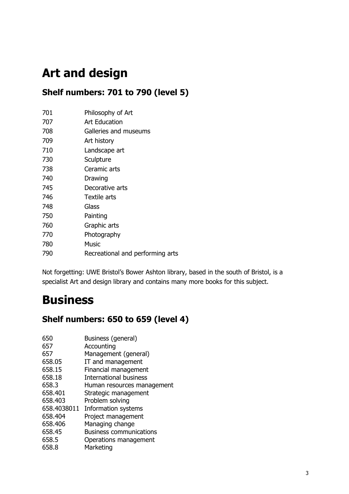# **Art and design**

#### **Shelf numbers: 701 to 790 (level 5)**

| 701 | Philosophy of Art |  |
|-----|-------------------|--|
|     |                   |  |

| 707 | Art Education |  |
|-----|---------------|--|
|     |               |  |

- 708 Galleries and museums
- 709 Art history
- 710 Landscape art
- 730 Sculpture
- 738 Ceramic arts
- 740 Drawing
- 745 Decorative arts
- 746 Textile arts
- 748 Glass
- 750 Painting
- 760 Graphic arts
- 770 Photography
- 780 Music
- 790 Recreational and performing arts

Not forgetting: UWE Bristol's Bower Ashton library, based in the south of Bristol, is a specialist Art and design library and contains many more books for this subject.

# **Business**

#### **Shelf numbers: 650 to 659 (level 4)**

650 Business (general) 657 Accounting 657 Management (general) 658.05 IT and management 658.15 Financial management 658.18 International business 658.3 Human resources management 658.401 Strategic management 658.403 Problem solving 658.4038011 Information systems 658.404 Project management 658.406 Managing change 658.45 Business communications 658.5 Operations management 658.8 Marketing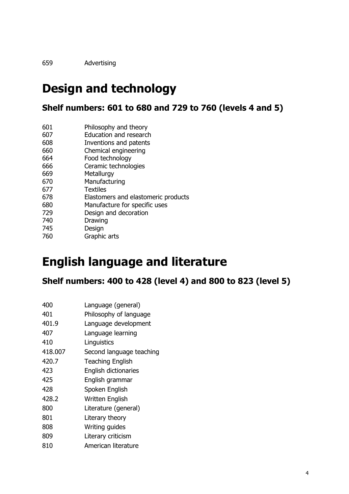Advertising

## **Design and technology**

**Shelf numbers: 601 to 680 and 729 to 760 (levels 4 and 5)**

| 601 | Philosophy and theory |
|-----|-----------------------|
|-----|-----------------------|

- Education and research
- Inventions and patents
- Chemical engineering Food technology
- Ceramic technologies
- Metallurgy
- Manufacturing
- Textiles
- Elastomers and elastomeric products
- Manufacture for specific uses
- Design and decoration
- Drawing
- Design Graphic arts

## **English language and literature**

**Shelf numbers: 400 to 428 (level 4) and 800 to 823 (level 5)**

| 400     | Language (general)       |
|---------|--------------------------|
| 401     | Philosophy of language   |
| 401.9   | Language development     |
| 407     | Language learning        |
| 410     | Linguistics              |
| 418.007 | Second language teaching |
| 420.7   | <b>Teaching English</b>  |
| 423     | English dictionaries     |
| 425     | English grammar          |
| 428     | Spoken English           |
| 428.2   | Written English          |
| 800     | Literature (general)     |
| 801     | Literary theory          |
| 808     | Writing guides           |
| 809     | Literary criticism       |
| 810     | American literature      |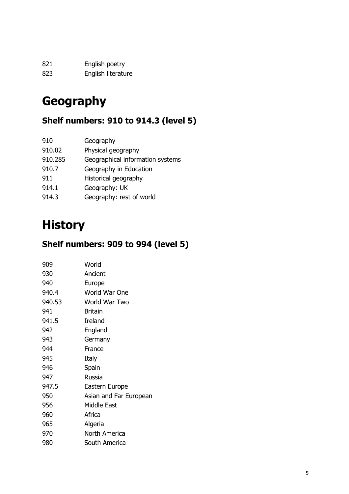| 821 | English poetry     |
|-----|--------------------|
| 823 | English literature |

# **Geography**

#### **Shelf numbers: 910 to 914.3 (level 5)**

| Geography                        |
|----------------------------------|
| Physical geography               |
| Geographical information systems |
| Geography in Education           |
| Historical geography             |
| Geography: UK                    |
| Geography: rest of world         |
|                                  |

# **History**

### **Shelf numbers: 909 to 994 (level 5)**

| 909    | World                  |
|--------|------------------------|
| 930    | Ancient                |
| 940    | Europe                 |
| 940.4  | World War One          |
| 940.53 | World War Two          |
| 941    | <b>Britain</b>         |
| 941.5  | Ireland                |
| 942    | England                |
| 943    | Germany                |
| 944    | France                 |
| 945    | Italy                  |
| 946    | Spain                  |
| 947    | Russia                 |
| 947.5  | Eastern Europe         |
| 950    | Asian and Far European |
| 956    | <b>Middle East</b>     |
| 960    | Africa                 |
| 965    | Algeria                |
| 970    | North America          |
| 980    | South America          |
|        |                        |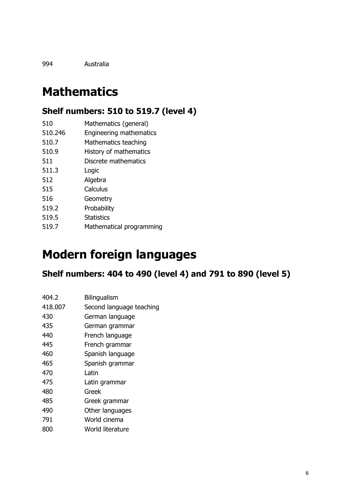Australia

# **Mathematics**

#### **Shelf numbers: 510 to 519.7 (level 4)**

| 510 | Mathematics (general) |  |
|-----|-----------------------|--|
|     |                       |  |

- 510.246 Engineering mathematics
- 510.7 Mathematics teaching
- 510.9 History of mathematics
- Discrete mathematics
- 511.3 Logic Algebra
- Calculus
- Geometry
- 519.2 Probability
- 519.5 Statistics
- 519.7 Mathematical programming

## **Modern foreign languages**

#### **Shelf numbers: 404 to 490 (level 4) and 791 to 890 (level 5)**

| 404.2 | Bilingualism |
|-------|--------------|
|       |              |

- 418.007 Second language teaching
- German language
- German grammar
- French language
- French grammar
- Spanish language
- Spanish grammar
- Latin
- Latin grammar
- Greek
- Greek grammar
- Other languages
- World cinema
- World literature